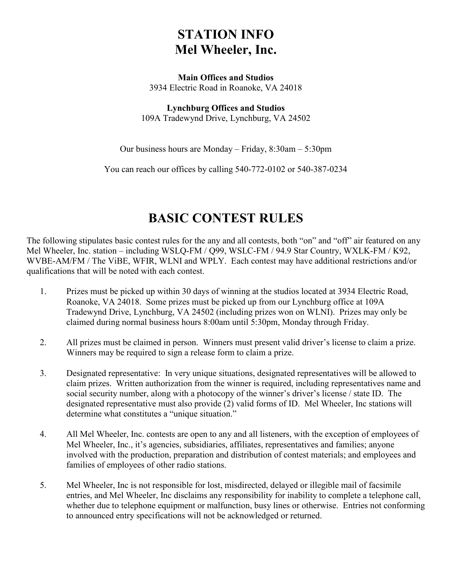#### **STATION INFO Mel Wheeler, Inc.**

#### **Main Offices and Studios** 3934 Electric Road in Roanoke, VA 24018

**Lynchburg Offices and Studios** 109A Tradewynd Drive, Lynchburg, VA 24502

Our business hours are Monday – Friday, 8:30am – 5:30pm

You can reach our offices by calling 540-772-0102 or 540-387-0234

#### **BASIC CONTEST RULES**

The following stipulates basic contest rules for the any and all contests, both "on" and "off" air featured on any Mel Wheeler, Inc. station – including WSLQ-FM / Q99, WSLC-FM / 94.9 Star Country, WXLK-FM / K92, WVBE-AM/FM / The ViBE, WFIR, WLNI and WPLY. Each contest may have additional restrictions and/or qualifications that will be noted with each contest.

- 1. Prizes must be picked up within 30 days of winning at the studios located at 3934 Electric Road, Roanoke, VA 24018. Some prizes must be picked up from our Lynchburg office at 109A Tradewynd Drive, Lynchburg, VA 24502 (including prizes won on WLNI). Prizes may only be claimed during normal business hours 8:00am until 5:30pm, Monday through Friday.
- 2. All prizes must be claimed in person. Winners must present valid driver's license to claim a prize. Winners may be required to sign a release form to claim a prize.
- 3. Designated representative: In very unique situations, designated representatives will be allowed to claim prizes. Written authorization from the winner is required, including representatives name and social security number, along with a photocopy of the winner's driver's license / state ID. The designated representative must also provide (2) valid forms of ID. Mel Wheeler, Inc stations will determine what constitutes a "unique situation."
- 4. All Mel Wheeler, Inc. contests are open to any and all listeners, with the exception of employees of Mel Wheeler, Inc., it's agencies, subsidiaries, affiliates, representatives and families; anyone involved with the production, preparation and distribution of contest materials; and employees and families of employees of other radio stations.
- 5. Mel Wheeler, Inc is not responsible for lost, misdirected, delayed or illegible mail of facsimile entries, and Mel Wheeler, Inc disclaims any responsibility for inability to complete a telephone call, whether due to telephone equipment or malfunction, busy lines or otherwise. Entries not conforming to announced entry specifications will not be acknowledged or returned.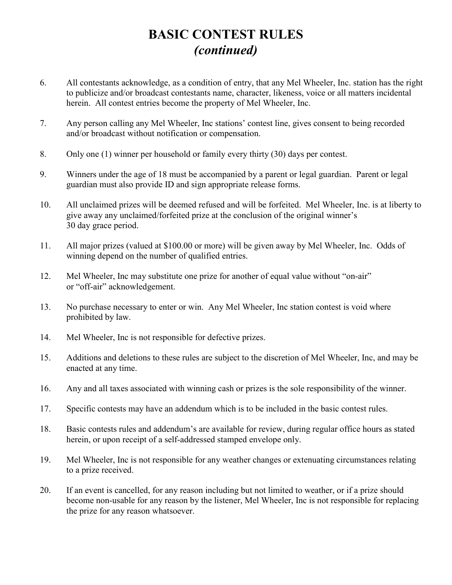# **BASIC CONTEST RULES**  *(continued)*

- 6. All contestants acknowledge, as a condition of entry, that any Mel Wheeler, Inc. station has the right to publicize and/or broadcast contestants name, character, likeness, voice or all matters incidental herein. All contest entries become the property of Mel Wheeler, Inc.
- 7. Any person calling any Mel Wheeler, Inc stations' contest line, gives consent to being recorded and/or broadcast without notification or compensation.
- 8. Only one (1) winner per household or family every thirty (30) days per contest.
- 9. Winners under the age of 18 must be accompanied by a parent or legal guardian. Parent or legal guardian must also provide ID and sign appropriate release forms.
- 10. All unclaimed prizes will be deemed refused and will be forfeited. Mel Wheeler, Inc. is at liberty to give away any unclaimed/forfeited prize at the conclusion of the original winner's 30 day grace period.
- 11. All major prizes (valued at \$100.00 or more) will be given away by Mel Wheeler, Inc. Odds of winning depend on the number of qualified entries.
- 12. Mel Wheeler, Inc may substitute one prize for another of equal value without "on-air" or "off-air" acknowledgement.
- 13. No purchase necessary to enter or win. Any Mel Wheeler, Inc station contest is void where prohibited by law.
- 14. Mel Wheeler, Inc is not responsible for defective prizes.
- 15. Additions and deletions to these rules are subject to the discretion of Mel Wheeler, Inc, and may be enacted at any time.
- 16. Any and all taxes associated with winning cash or prizes is the sole responsibility of the winner.
- 17. Specific contests may have an addendum which is to be included in the basic contest rules.
- 18. Basic contests rules and addendum's are available for review, during regular office hours as stated herein, or upon receipt of a self-addressed stamped envelope only.
- 19. Mel Wheeler, Inc is not responsible for any weather changes or extenuating circumstances relating to a prize received.
- 20. If an event is cancelled, for any reason including but not limited to weather, or if a prize should become non-usable for any reason by the listener, Mel Wheeler, Inc is not responsible for replacing the prize for any reason whatsoever.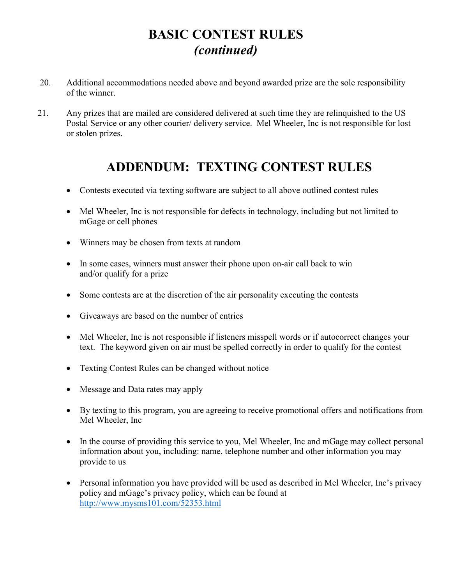# **BASIC CONTEST RULES**  *(continued)*

- 20. Additional accommodations needed above and beyond awarded prize are the sole responsibility of the winner.
- 21. Any prizes that are mailed are considered delivered at such time they are relinquished to the US Postal Service or any other courier/ delivery service. Mel Wheeler, Inc is not responsible for lost or stolen prizes.

# **ADDENDUM: TEXTING CONTEST RULES**

- Contests executed via texting software are subject to all above outlined contest rules
- Mel Wheeler, Inc is not responsible for defects in technology, including but not limited to mGage or cell phones
- · Winners may be chosen from texts at random
- In some cases, winners must answer their phone upon on-air call back to win and/or qualify for a prize
- · Some contests are at the discretion of the air personality executing the contests
- · Giveaways are based on the number of entries
- Mel Wheeler, Inc is not responsible if listeners misspell words or if autocorrect changes your text. The keyword given on air must be spelled correctly in order to qualify for the contest
- Texting Contest Rules can be changed without notice
- Message and Data rates may apply
- · By texting to this program, you are agreeing to receive promotional offers and notifications from Mel Wheeler, Inc
- In the course of providing this service to you, Mel Wheeler, Inc and mGage may collect personal information about you, including: name, telephone number and other information you may provide to us
- · Personal information you have provided will be used as described in Mel Wheeler, Inc's privacy policy and mGage's privacy policy, which can be found at <http://www.mysms101.com/52353.html>